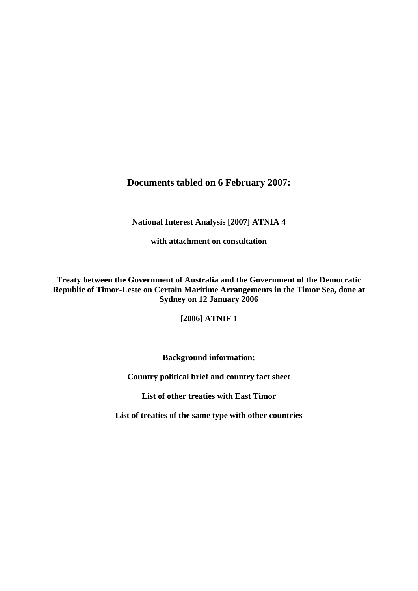# **Documents tabled on 6 February 2007:**

**National Interest Analysis [2007] ATNIA 4** 

**with attachment on consultation** 

**Treaty between the Government of Australia and the Government of the Democratic Republic of Timor-Leste on Certain Maritime Arrangements in the Timor Sea, done at Sydney on 12 January 2006** 

**[2006] ATNIF 1** 

**Background information:** 

**Country political brief and country fact sheet** 

**List of other treaties with East Timor** 

**List of treaties of the same type with other countries**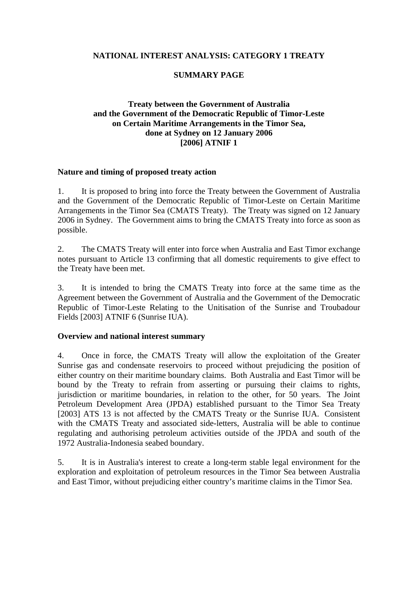#### **NATIONAL INTEREST ANALYSIS: CATEGORY 1 TREATY**

#### **SUMMARY PAGE**

## **Treaty between the Government of Australia and the Government of the Democratic Republic of Timor-Leste on Certain Maritime Arrangements in the Timor Sea, done at Sydney on 12 January 2006 [2006] ATNIF 1**

#### **Nature and timing of proposed treaty action**

1. It is proposed to bring into force the Treaty between the Government of Australia and the Government of the Democratic Republic of Timor-Leste on Certain Maritime Arrangements in the Timor Sea (CMATS Treaty). The Treaty was signed on 12 January 2006 in Sydney. The Government aims to bring the CMATS Treaty into force as soon as possible.

2. The CMATS Treaty will enter into force when Australia and East Timor exchange notes pursuant to Article 13 confirming that all domestic requirements to give effect to the Treaty have been met.

3. It is intended to bring the CMATS Treaty into force at the same time as the Agreement between the Government of Australia and the Government of the Democratic Republic of Timor-Leste Relating to the Unitisation of the Sunrise and Troubadour Fields [2003] ATNIF 6 (Sunrise IUA).

#### **Overview and national interest summary**

4. Once in force, the CMATS Treaty will allow the exploitation of the Greater Sunrise gas and condensate reservoirs to proceed without prejudicing the position of either country on their maritime boundary claims. Both Australia and East Timor will be bound by the Treaty to refrain from asserting or pursuing their claims to rights, jurisdiction or maritime boundaries, in relation to the other, for 50 years. The Joint Petroleum Development Area (JPDA) established pursuant to the Timor Sea Treaty [2003] ATS 13 is not affected by the CMATS Treaty or the Sunrise IUA. Consistent with the CMATS Treaty and associated side-letters, Australia will be able to continue regulating and authorising petroleum activities outside of the JPDA and south of the 1972 Australia-Indonesia seabed boundary.

5. It is in Australia's interest to create a long-term stable legal environment for the exploration and exploitation of petroleum resources in the Timor Sea between Australia and East Timor, without prejudicing either country's maritime claims in the Timor Sea.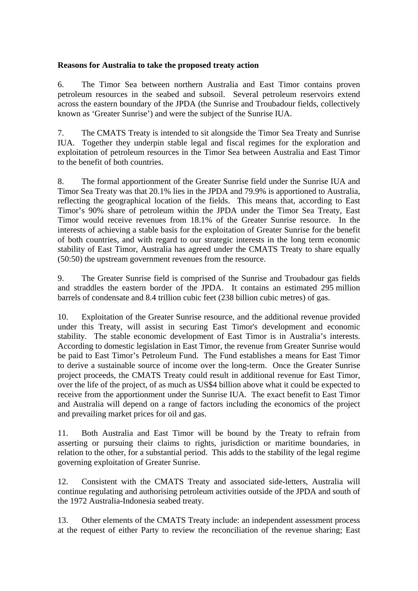#### **Reasons for Australia to take the proposed treaty action**

6. The Timor Sea between northern Australia and East Timor contains proven petroleum resources in the seabed and subsoil. Several petroleum reservoirs extend across the eastern boundary of the JPDA (the Sunrise and Troubadour fields, collectively known as 'Greater Sunrise') and were the subject of the Sunrise IUA.

7. The CMATS Treaty is intended to sit alongside the Timor Sea Treaty and Sunrise IUA. Together they underpin stable legal and fiscal regimes for the exploration and exploitation of petroleum resources in the Timor Sea between Australia and East Timor to the benefit of both countries.

8. The formal apportionment of the Greater Sunrise field under the Sunrise IUA and Timor Sea Treaty was that 20.1% lies in the JPDA and 79.9% is apportioned to Australia, reflecting the geographical location of the fields. This means that, according to East Timor's 90% share of petroleum within the JPDA under the Timor Sea Treaty, East Timor would receive revenues from 18.1% of the Greater Sunrise resource. In the interests of achieving a stable basis for the exploitation of Greater Sunrise for the benefit of both countries, and with regard to our strategic interests in the long term economic stability of East Timor, Australia has agreed under the CMATS Treaty to share equally (50:50) the upstream government revenues from the resource.

9. The Greater Sunrise field is comprised of the Sunrise and Troubadour gas fields and straddles the eastern border of the JPDA. It contains an estimated 295 million barrels of condensate and 8.4 trillion cubic feet (238 billion cubic metres) of gas.

10. Exploitation of the Greater Sunrise resource, and the additional revenue provided under this Treaty, will assist in securing East Timor's development and economic stability. The stable economic development of East Timor is in Australia's interests. According to domestic legislation in East Timor, the revenue from Greater Sunrise would be paid to East Timor's Petroleum Fund. The Fund establishes a means for East Timor to derive a sustainable source of income over the long-term. Once the Greater Sunrise project proceeds, the CMATS Treaty could result in additional revenue for East Timor, over the life of the project, of as much as US\$4 billion above what it could be expected to receive from the apportionment under the Sunrise IUA. The exact benefit to East Timor and Australia will depend on a range of factors including the economics of the project and prevailing market prices for oil and gas.

11. Both Australia and East Timor will be bound by the Treaty to refrain from asserting or pursuing their claims to rights, jurisdiction or maritime boundaries, in relation to the other, for a substantial period. This adds to the stability of the legal regime governing exploitation of Greater Sunrise.

12. Consistent with the CMATS Treaty and associated side-letters, Australia will continue regulating and authorising petroleum activities outside of the JPDA and south of the 1972 Australia-Indonesia seabed treaty.

13. Other elements of the CMATS Treaty include: an independent assessment process at the request of either Party to review the reconciliation of the revenue sharing; East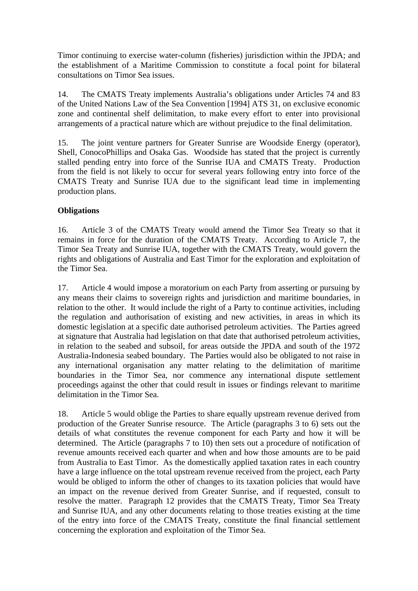Timor continuing to exercise water-column (fisheries) jurisdiction within the JPDA; and the establishment of a Maritime Commission to constitute a focal point for bilateral consultations on Timor Sea issues.

14. The CMATS Treaty implements Australia's obligations under Articles 74 and 83 of the United Nations Law of the Sea Convention [1994] ATS 31, on exclusive economic zone and continental shelf delimitation, to make every effort to enter into provisional arrangements of a practical nature which are without prejudice to the final delimitation.

15. The joint venture partners for Greater Sunrise are Woodside Energy (operator), Shell, ConocoPhillips and Osaka Gas. Woodside has stated that the project is currently stalled pending entry into force of the Sunrise IUA and CMATS Treaty. Production from the field is not likely to occur for several years following entry into force of the CMATS Treaty and Sunrise IUA due to the significant lead time in implementing production plans.

## **Obligations**

16. Article 3 of the CMATS Treaty would amend the Timor Sea Treaty so that it remains in force for the duration of the CMATS Treaty. According to Article 7, the Timor Sea Treaty and Sunrise IUA, together with the CMATS Treaty, would govern the rights and obligations of Australia and East Timor for the exploration and exploitation of the Timor Sea.

17. Article 4 would impose a moratorium on each Party from asserting or pursuing by any means their claims to sovereign rights and jurisdiction and maritime boundaries, in relation to the other. It would include the right of a Party to continue activities, including the regulation and authorisation of existing and new activities, in areas in which its domestic legislation at a specific date authorised petroleum activities. The Parties agreed at signature that Australia had legislation on that date that authorised petroleum activities, in relation to the seabed and subsoil, for areas outside the JPDA and south of the 1972 Australia-Indonesia seabed boundary. The Parties would also be obligated to not raise in any international organisation any matter relating to the delimitation of maritime boundaries in the Timor Sea, nor commence any international dispute settlement proceedings against the other that could result in issues or findings relevant to maritime delimitation in the Timor Sea.

18. Article 5 would oblige the Parties to share equally upstream revenue derived from production of the Greater Sunrise resource. The Article (paragraphs 3 to 6) sets out the details of what constitutes the revenue component for each Party and how it will be determined. The Article (paragraphs 7 to 10) then sets out a procedure of notification of revenue amounts received each quarter and when and how those amounts are to be paid from Australia to East Timor. As the domestically applied taxation rates in each country have a large influence on the total upstream revenue received from the project, each Party would be obliged to inform the other of changes to its taxation policies that would have an impact on the revenue derived from Greater Sunrise, and if requested, consult to resolve the matter. Paragraph 12 provides that the CMATS Treaty, Timor Sea Treaty and Sunrise IUA, and any other documents relating to those treaties existing at the time of the entry into force of the CMATS Treaty, constitute the final financial settlement concerning the exploration and exploitation of the Timor Sea.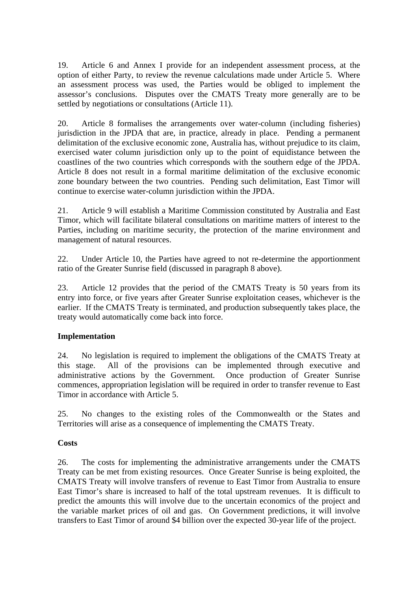19. Article 6 and Annex I provide for an independent assessment process, at the option of either Party, to review the revenue calculations made under Article 5. Where an assessment process was used, the Parties would be obliged to implement the assessor's conclusions. Disputes over the CMATS Treaty more generally are to be settled by negotiations or consultations (Article 11).

20. Article 8 formalises the arrangements over water-column (including fisheries) jurisdiction in the JPDA that are, in practice, already in place. Pending a permanent delimitation of the exclusive economic zone, Australia has, without prejudice to its claim, exercised water column jurisdiction only up to the point of equidistance between the coastlines of the two countries which corresponds with the southern edge of the JPDA. Article 8 does not result in a formal maritime delimitation of the exclusive economic zone boundary between the two countries. Pending such delimitation, East Timor will continue to exercise water-column jurisdiction within the JPDA.

21. Article 9 will establish a Maritime Commission constituted by Australia and East Timor, which will facilitate bilateral consultations on maritime matters of interest to the Parties, including on maritime security, the protection of the marine environment and management of natural resources.

22. Under Article 10, the Parties have agreed to not re-determine the apportionment ratio of the Greater Sunrise field (discussed in paragraph 8 above).

23. Article 12 provides that the period of the CMATS Treaty is 50 years from its entry into force, or five years after Greater Sunrise exploitation ceases, whichever is the earlier. If the CMATS Treaty is terminated, and production subsequently takes place, the treaty would automatically come back into force.

## **Implementation**

24. No legislation is required to implement the obligations of the CMATS Treaty at this stage. All of the provisions can be implemented through executive and administrative actions by the Government. Once production of Greater Sunrise commences, appropriation legislation will be required in order to transfer revenue to East Timor in accordance with Article 5.

25. No changes to the existing roles of the Commonwealth or the States and Territories will arise as a consequence of implementing the CMATS Treaty.

## **Costs**

26. The costs for implementing the administrative arrangements under the CMATS Treaty can be met from existing resources. Once Greater Sunrise is being exploited, the CMATS Treaty will involve transfers of revenue to East Timor from Australia to ensure East Timor's share is increased to half of the total upstream revenues. It is difficult to predict the amounts this will involve due to the uncertain economics of the project and the variable market prices of oil and gas. On Government predictions, it will involve transfers to East Timor of around \$4 billion over the expected 30-year life of the project.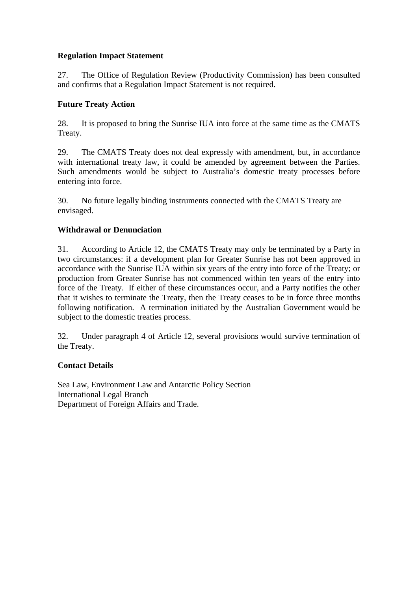# **Regulation Impact Statement**

27. The Office of Regulation Review (Productivity Commission) has been consulted and confirms that a Regulation Impact Statement is not required.

# **Future Treaty Action**

28. It is proposed to bring the Sunrise IUA into force at the same time as the CMATS Treaty.

29. The CMATS Treaty does not deal expressly with amendment, but, in accordance with international treaty law, it could be amended by agreement between the Parties. Such amendments would be subject to Australia's domestic treaty processes before entering into force.

30. No future legally binding instruments connected with the CMATS Treaty are envisaged.

# **Withdrawal or Denunciation**

31. According to Article 12, the CMATS Treaty may only be terminated by a Party in two circumstances: if a development plan for Greater Sunrise has not been approved in accordance with the Sunrise IUA within six years of the entry into force of the Treaty; or production from Greater Sunrise has not commenced within ten years of the entry into force of the Treaty. If either of these circumstances occur, and a Party notifies the other that it wishes to terminate the Treaty, then the Treaty ceases to be in force three months following notification. A termination initiated by the Australian Government would be subject to the domestic treaties process.

32. Under paragraph 4 of Article 12, several provisions would survive termination of the Treaty.

## **Contact Details**

Sea Law, Environment Law and Antarctic Policy Section International Legal Branch Department of Foreign Affairs and Trade.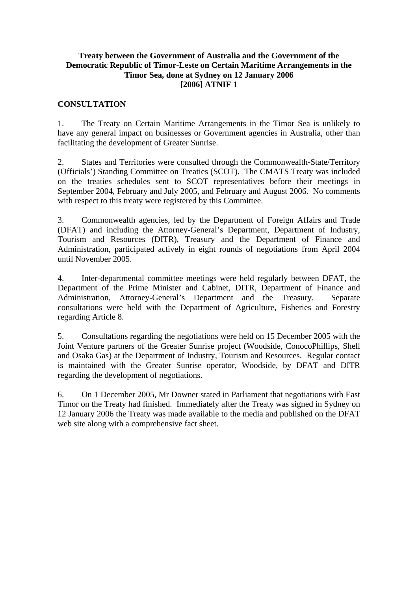#### **Treaty between the Government of Australia and the Government of the Democratic Republic of Timor-Leste on Certain Maritime Arrangements in the Timor Sea, done at Sydney on 12 January 2006 [2006] ATNIF 1**

#### **CONSULTATION**

1. The Treaty on Certain Maritime Arrangements in the Timor Sea is unlikely to have any general impact on businesses or Government agencies in Australia, other than facilitating the development of Greater Sunrise.

2. States and Territories were consulted through the Commonwealth-State/Territory (Officials') Standing Committee on Treaties (SCOT). The CMATS Treaty was included on the treaties schedules sent to SCOT representatives before their meetings in September 2004, February and July 2005, and February and August 2006. No comments with respect to this treaty were registered by this Committee.

3. Commonwealth agencies, led by the Department of Foreign Affairs and Trade (DFAT) and including the Attorney-General's Department, Department of Industry, Tourism and Resources (DITR), Treasury and the Department of Finance and Administration, participated actively in eight rounds of negotiations from April 2004 until November 2005.

4. Inter-departmental committee meetings were held regularly between DFAT, the Department of the Prime Minister and Cabinet, DITR, Department of Finance and Administration, Attorney-General's Department and the Treasury. Separate consultations were held with the Department of Agriculture, Fisheries and Forestry regarding Article 8.

5. Consultations regarding the negotiations were held on 15 December 2005 with the Joint Venture partners of the Greater Sunrise project (Woodside, ConocoPhillips, Shell and Osaka Gas) at the Department of Industry, Tourism and Resources. Regular contact is maintained with the Greater Sunrise operator, Woodside, by DFAT and DITR regarding the development of negotiations.

6. On 1 December 2005, Mr Downer stated in Parliament that negotiations with East Timor on the Treaty had finished. Immediately after the Treaty was signed in Sydney on 12 January 2006 the Treaty was made available to the media and published on the DFAT web site along with a comprehensive fact sheet.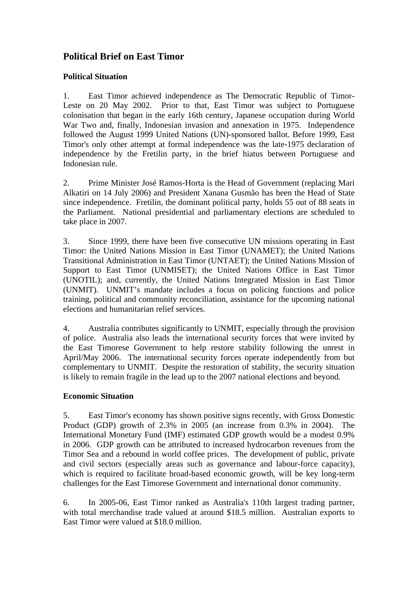# **Political Brief on East Timor**

## **Political Situation**

1. East Timor achieved independence as The Democratic Republic of Timor-Leste on 20 May 2002. Prior to that, East Timor was subject to Portuguese colonisation that began in the early 16th century, Japanese occupation during World War Two and, finally, Indonesian invasion and annexation in 1975. Independence followed the August 1999 United Nations (UN)-sponsored ballot. Before 1999, East Timor's only other attempt at formal independence was the late-1975 declaration of independence by the Fretilin party, in the brief hiatus between Portuguese and Indonesian rule.

2. Prime Minister José Ramos-Horta is the Head of Government (replacing Mari Alkatiri on 14 July 2006) and President Xanana Gusmão has been the Head of State since independence. Fretilin, the dominant political party, holds 55 out of 88 seats in the Parliament. National presidential and parliamentary elections are scheduled to take place in 2007.

3. Since 1999, there have been five consecutive UN missions operating in East Timor: the United Nations Mission in East Timor (UNAMET); the United Nations Transitional Administration in East Timor (UNTAET); the United Nations Mission of Support to East Timor (UNMISET); the United Nations Office in East Timor (UNOTIL); and, currently, the United Nations Integrated Mission in East Timor (UNMIT). UNMIT's mandate includes a focus on policing functions and police training, political and community reconciliation, assistance for the upcoming national elections and humanitarian relief services.

4. Australia contributes significantly to UNMIT, especially through the provision of police. Australia also leads the international security forces that were invited by the East Timorese Government to help restore stability following the unrest in April/May 2006. The international security forces operate independently from but complementary to UNMIT. Despite the restoration of stability, the security situation is likely to remain fragile in the lead up to the 2007 national elections and beyond.

## **Economic Situation**

5. East Timor's economy has shown positive signs recently, with Gross Domestic Product (GDP) growth of 2.3% in 2005 (an increase from 0.3% in 2004). The International Monetary Fund (IMF) estimated GDP growth would be a modest 0.9% in 2006. GDP growth can be attributed to increased hydrocarbon revenues from the Timor Sea and a rebound in world coffee prices. The development of public, private and civil sectors (especially areas such as governance and labour-force capacity), which is required to facilitate broad-based economic growth, will be key long-term challenges for the East Timorese Government and international donor community.

6. In 2005-06, East Timor ranked as Australia's 110th largest trading partner, with total merchandise trade valued at around \$18.5 million. Australian exports to East Timor were valued at \$18.0 million.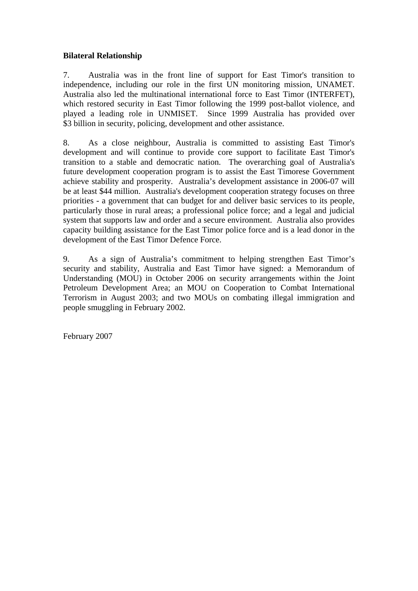## **Bilateral Relationship**

7. Australia was in the front line of support for East Timor's transition to independence, including our role in the first UN monitoring mission, UNAMET. Australia also led the multinational international force to East Timor (INTERFET), which restored security in East Timor following the 1999 post-ballot violence, and played a leading role in UNMISET. Since 1999 Australia has provided over \$3 billion in security, policing, development and other assistance.

8. As a close neighbour, Australia is committed to assisting East Timor's development and will continue to provide core support to facilitate East Timor's transition to a stable and democratic nation. The overarching goal of Australia's future development cooperation program is to assist the East Timorese Government achieve stability and prosperity. Australia's development assistance in 2006-07 will be at least \$44 million. Australia's development cooperation strategy focuses on three priorities - a government that can budget for and deliver basic services to its people, particularly those in rural areas; a professional police force; and a legal and judicial system that supports law and order and a secure environment. Australia also provides capacity building assistance for the East Timor police force and is a lead donor in the development of the East Timor Defence Force.

9. As a sign of Australia's commitment to helping strengthen East Timor's security and stability, Australia and East Timor have signed: a Memorandum of Understanding (MOU) in October 2006 on security arrangements within the Joint Petroleum Development Area; an MOU on Cooperation to Combat International Terrorism in August 2003; and two MOUs on combating illegal immigration and people smuggling in February 2002.

February 2007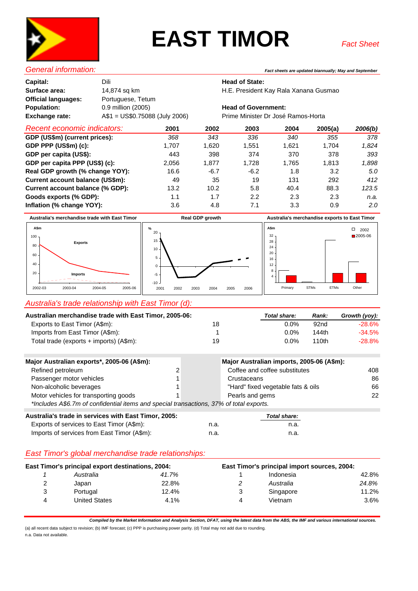

# **EAST TIMOR**

| Dili                          |
|-------------------------------|
| 14,874 sq km                  |
| Portuguese, Tetum             |
| 0.9 million (2005)            |
| A\$1 = US\$0.75088 (July 2006 |
|                               |

*General information: Fact sheets are updated biannually; May and September*

#### **Head of State:**

**Surface area:** 14,874 sq km H.E. President Kay Rala Xanana Gusmao

#### **Head of Government:**

Frime Minister Dr José Ramos-Horta

| <b>Recent economic indicators:</b> | 2001  | 2002   | 2003   | 2004  | 2005(a) | 2006(b) |
|------------------------------------|-------|--------|--------|-------|---------|---------|
| GDP (US\$m) (current prices):      | 368   | 343    | 336    | 340   | 355     | 378     |
| GDP PPP $(US$m)$ $(c)$ :           | 1.707 | 1.620  | 1,551  | 1.621 | 1.704   | 1,824   |
| GDP per capita (US\$):             | 443   | 398    | 374    | 370   | 378     | 393     |
| GDP per capita PPP (US\$) (c):     | 2,056 | 1,877  | 1.728  | 1,765 | 1,813   | 1,898   |
| Real GDP growth (% change YOY):    | 16.6  | $-6.7$ | $-6.2$ | 1.8   | 3.2     | 5.0     |
| Current account balance (US\$m):   | 49    | 35     | 19     | 131   | 292     | 412     |
| Current account balance (% GDP):   | 13.2  | 10.2   | 5.8    | 40.4  | 88.3    | 123.5   |
| Goods exports (% GDP):             | 1.1   | 1.7    | 2.2    | 2.3   | 2.3     | n.a.    |
| Inflation (% change YOY):          | 3.6   | 4.8    | 7.1    | 3.3   | 0.9     | 2.0     |

**Australia's merchandise trade with East Timor Australia's merchandise exports to East Timor Real GDP growth**





Primary STMs ETMs Other

#### *Australia's trade relationship with East Timor (d):*

| Australian merchandise trade with East Timor, 2005-06: |    | Total share: | Rank: | Growth (yoy): |
|--------------------------------------------------------|----|--------------|-------|---------------|
| Exports to East Timor (A\$m):                          | 18 | $0.0\%$      | 92nd  | $-28.6%$      |
| Imports from East Timor (A\$m):                        |    | 0.0%         | 144th | $-34.5%$      |
| Total trade (exports + imports) (A\$m):                | 19 | 0.0%         | 110th | $-28.8%$      |

| Major Australian exports*, 2005-06 (A\$m):                                              |   | Major Australian imports, 2005-06 (A\$m): |     |
|-----------------------------------------------------------------------------------------|---|-------------------------------------------|-----|
| Refined petroleum                                                                       | 2 | Coffee and coffee substitutes             | 408 |
| Passenger motor vehicles                                                                |   | Crustaceans                               | 86  |
| Non-alcoholic beverages                                                                 |   | "Hard" fixed vegetable fats & oils        | 66  |
| Motor vehicles for transporting goods                                                   |   | Pearls and gems                           | 22  |
| *Includes A\$6.7m of confidential items and special transactions, 37% of total exports. |   |                                           |     |
| Augtralia's trade in convices with East Timer, 2005.                                    |   | Tatal above.                              |     |

| Australia's trade in services with East Timor, 2005: |      | Total share: |
|------------------------------------------------------|------|--------------|
| Exports of services to East Timor (A\$m):            | n.a. | n.a.         |
| Imports of services from East Timor (A\$m):          | n.a. | n.a.         |

#### *East Timor's global merchandise trade relationships:*

| East Timor's principal export destinations, 2004: |               | East Timor's principal import sources, 2004: |   |           |         |
|---------------------------------------------------|---------------|----------------------------------------------|---|-----------|---------|
|                                                   | Australia     | 41.7%                                        |   | Indonesia | 42.8%   |
| 2                                                 | Japan         | 22.8%                                        |   | Australia | 24.8%   |
| 3                                                 | Portugal      | 12.4%                                        |   | Singapore | 11.2%   |
| 4                                                 | United States | 4.1%                                         | Δ | Vietnam   | $3.6\%$ |

*Compiled by the Market Information and Analysis Section, DFAT, using the latest data from the ABS, the IMF and various international sources.*

(a) all recent data subject to revision; (b) IMF forecast; (c) PPP is purchasing power parity. (d) Total may not add due to rounding. n.a. Data not available.